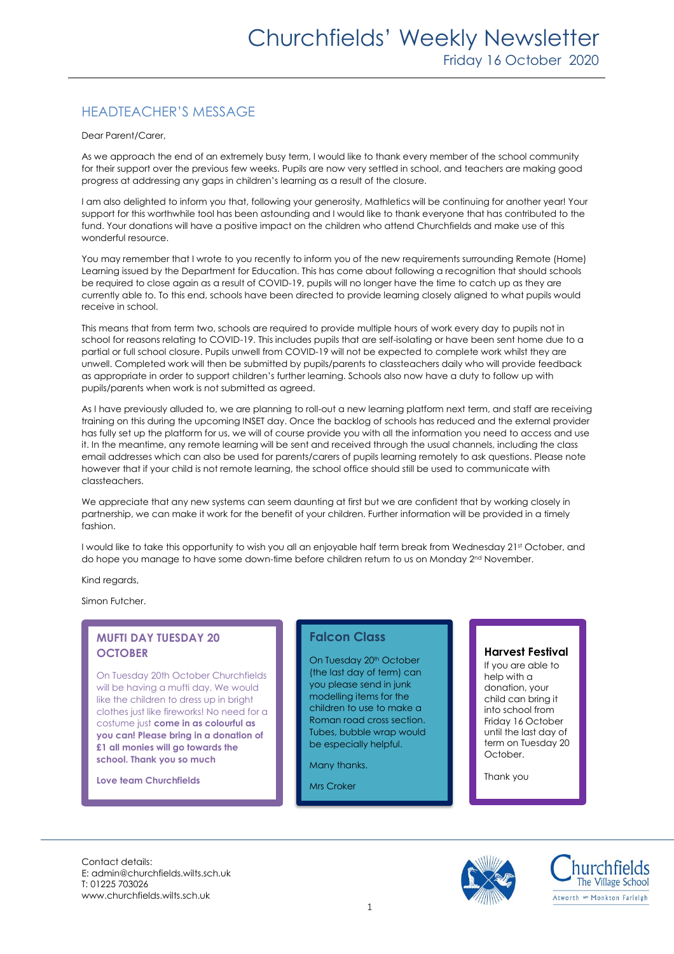# HEADTEACHER'S MESSAGE

Dear Parent/Carer,

As we approach the end of an extremely busy term, I would like to thank every member of the school community for their support over the previous few weeks. Pupils are now very settled in school, and teachers are making good progress at addressing any gaps in children's learning as a result of the closure.

I am also delighted to inform you that, following your generosity, Mathletics will be continuing for another year! Your support for this worthwhile tool has been astounding and I would like to thank everyone that has contributed to the fund. Your donations will have a positive impact on the children who attend Churchfields and make use of this wonderful resource.

You may remember that I wrote to you recently to inform you of the new requirements surrounding Remote (Home) Learning issued by the Department for Education. This has come about following a recognition that should schools be required to close again as a result of COVID-19, pupils will no longer have the time to catch up as they are currently able to. To this end, schools have been directed to provide learning closely aligned to what pupils would receive in school.

This means that from term two, schools are required to provide multiple hours of work every day to pupils not in school for reasons relating to COVID-19. This includes pupils that are self-isolating or have been sent home due to a partial or full school closure. Pupils unwell from COVID-19 will not be expected to complete work whilst they are unwell. Completed work will then be submitted by pupils/parents to classteachers daily who will provide feedback as appropriate in order to support children's further learning. Schools also now have a duty to follow up with pupils/parents when work is not submitted as agreed.

As I have previously alluded to, we are planning to roll-out a new learning platform next term, and staff are receiving training on this during the upcoming INSET day. Once the backlog of schools has reduced and the external provider has fully set up the platform for us, we will of course provide you with all the information you need to access and use it. In the meantime, any remote learning will be sent and received through the usual channels, including the class email addresses which can also be used for parents/carers of pupils learning remotely to ask questions. Please note however that if your child is not remote learning, the school office should still be used to communicate with classteachers.

We appreciate that any new systems can seem daunting at first but we are confident that by working closely in partnership, we can make it work for the benefit of your children. Further information will be provided in a timely fashion.

I would like to take this opportunity to wish you all an enjoyable half term break from Wednesday 21st October, and do hope you manage to have some down-time before children return to us on Monday 2<sup>nd</sup> November.

Kind regards,

Simon Futcher.

### **MUFTI DAY TUESDAY 20 OCTOBER**

On Tuesday 20th October Churchfields will be having a mufti day. We would like the children to dress up in bright clothes just like fireworks! No need for a costume just **come in as colourful as you can! Please bring in a donation of £1 all monies will go towards the school. Thank you so much**

**Love team Churchfields**

### **Falcon Class**

On Tuesday 20<sup>th</sup> October (the last day of term) can you please send in junk modelling items for the children to use to make a Roman road cross section. Tubes, bubble wrap would be especially helpful.

Many thanks.

Mrs Croker

### **Harvest Festival**

If you are able to help with a donation, your child can bring it into school from Friday 16 October until the last day of term on Tuesday 20 October.

Thank you

Contact details: E: admin@churchfields.wilts.sch.uk T: 01225 703026 www.churchfields.wilts.sch.uk



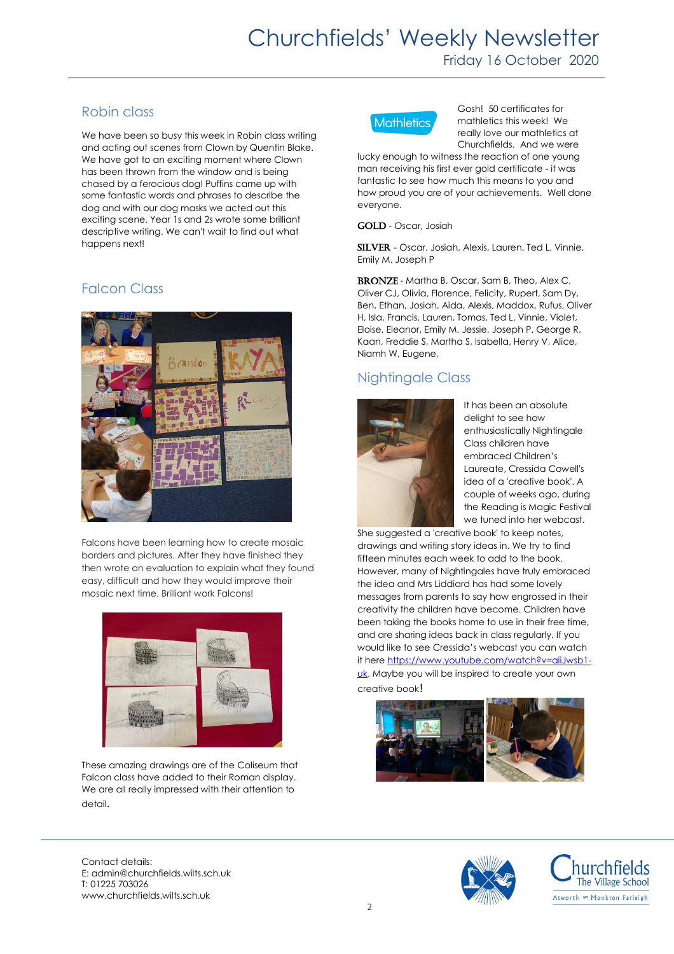# Churchfields' Weekly Newsletter Friday 16 October 2020

# Robin class

We have been so busy this week in Robin class writing and acting out scenes from Clown by Quentin Blake. We have got to an exciting moment where Clown has been thrown from the window and is being chased by a ferocious dog! Puffins came up with some fantastic words and phrases to describe the dog and with our dog masks we acted out this exciting scene. Year 1s and 2s wrote some brilliant descriptive writing. We can't wait to find out what happens next!

# Falcon Class



Falcons have been learning how to create mosaic borders and pictures. After they have finished they then wrote an evaluation to explain what they found easy, difficult and how they would improve their mosaic next time. Brilliant work Falcons!



These amazing drawings are of the Coliseum that Falcon class have added to their Roman display. We are all really impressed with their attention to detail.



Gosh! 50 certificates for mathletics this week! We really love our mathletics at Churchfields. And we were

lucky enough to witness the reaction of one young man receiving his first ever gold certificate - it was fantastic to see how much this means to you and how proud you are of your achievements. Well done everyone.

GOLD - Oscar, Josiah

SILVER - Oscar, Josiah, Alexis, Lauren, Ted L, Vinnie, Emily M, Joseph P

BRONZE - Martha B, Oscar, Sam B, Theo, Alex C, Oliver CJ, Olivia, Florence, Felicity, Rupert, Sam Dy, Ben, Ethan, Josiah, Aida, Alexis, Maddox, Rufus, Oliver H, Isla, Francis, Lauren, Tomas, Ted L, Vinnie, Violet, Eloise, Eleanor, Emily M, Jessie, Joseph P, George R, Kaan, Freddie S, Martha S, Isabella, Henry V, Alice, Niamh W, Eugene,

# Nightingale Class



It has been an absolute delight to see how enthusiastically Nightingale Class children have embraced Children's Laureate, Cressida Cowell's idea of a 'creative book'. A couple of weeks ago, during the Reading is Magic Festival we tuned into her webcast.

She suggested a 'creative book' to keep notes, drawings and writing story ideas in. We try to find fifteen minutes each week to add to the book. However, many of Nightingales have truly embraced the idea and Mrs Liddiard has had some lovely messages from parents to say how engrossed in their creativity the children have become. Children have been taking the books home to use in their free time, and are sharing ideas back in class regularly. If you would like to see Cressida's webcast you can watch it here [https://www.youtube.com/watch?v=aiiJwsb1](https://www.youtube.com/watch?v=aiiJwsb1-uk) [uk.](https://www.youtube.com/watch?v=aiiJwsb1-uk) Maybe you will be inspired to create your own creative book!



Contact details: E: admin@churchfields.wilts.sch.uk T: 01225 703026 www.churchfields.wilts.sch.uk



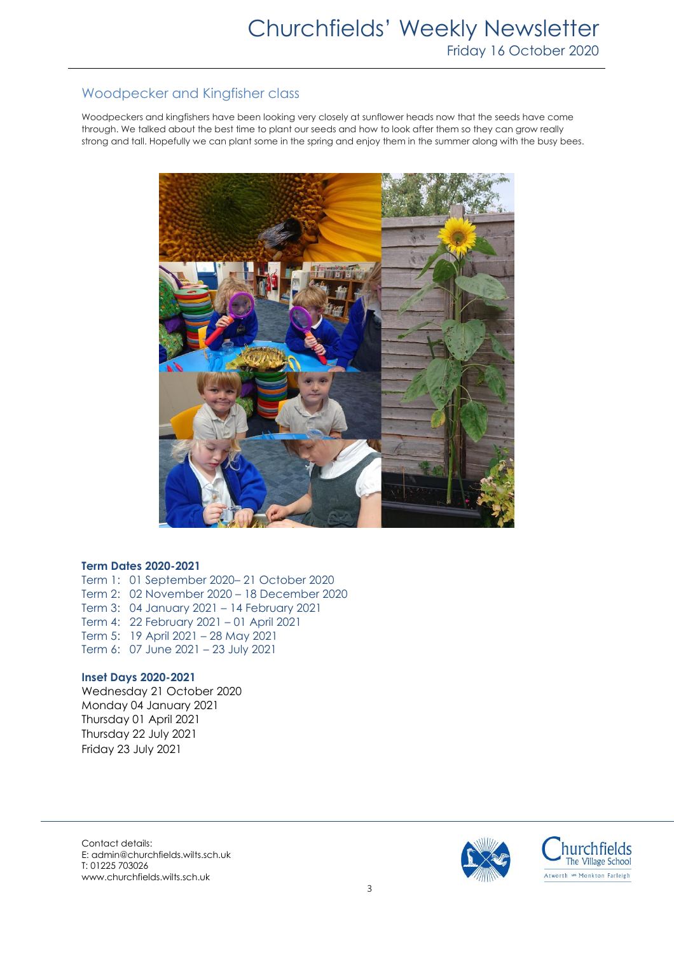# Woodpecker and Kingfisher class

Woodpeckers and kingfishers have been looking very closely at sunflower heads now that the seeds have come through. We talked about the best time to plant our seeds and how to look after them so they can grow really strong and tall. Hopefully we can plant some in the spring and enjoy them in the summer along with the busy bees.



### **Term Dates 2020-2021**

Term 1: 01 September 2020– 21 October 2020 Term 2: 02 November 2020 – 18 December 2020 Term 3: 04 January 2021 – 14 February 2021 Term 4: 22 February 2021 – 01 April 2021 Term 5: 19 April 2021 – 28 May 2021 Term 6: 07 June 2021 – 23 July 2021

### **Inset Days 2020-2021**

Wednesday 21 October 2020 Monday 04 January 2021 Thursday 01 April 2021 Thursday 22 July 2021 Friday 23 July 2021

Contact details: E: admin@churchfields.wilts.sch.uk T: 01225 703026 www.churchfields.wilts.sch.uk